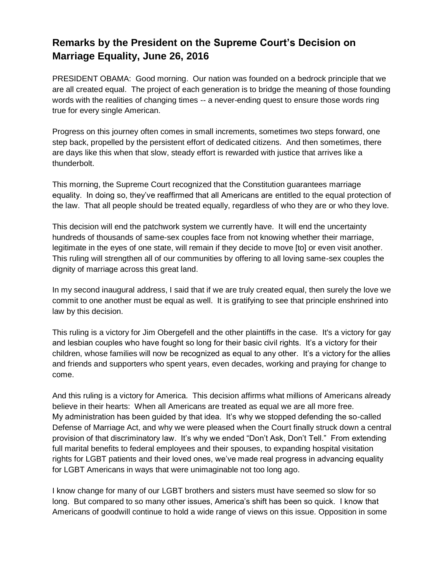## **Remarks by the President on the Supreme Court's Decision on Marriage Equality, June 26, 2016**

PRESIDENT OBAMA: Good morning. Our nation was founded on a bedrock principle that we are all created equal. The project of each generation is to bridge the meaning of those founding words with the realities of changing times -- a never-ending quest to ensure those words ring true for every single American.

Progress on this journey often comes in small increments, sometimes two steps forward, one step back, propelled by the persistent effort of dedicated citizens. And then sometimes, there are days like this when that slow, steady effort is rewarded with justice that arrives like a thunderbolt.

This morning, the Supreme Court recognized that the Constitution guarantees marriage equality. In doing so, they've reaffirmed that all Americans are entitled to the equal protection of the law. That all people should be treated equally, regardless of who they are or who they love.

This decision will end the patchwork system we currently have. It will end the uncertainty hundreds of thousands of same-sex couples face from not knowing whether their marriage, legitimate in the eyes of one state, will remain if they decide to move [to] or even visit another. This ruling will strengthen all of our communities by offering to all loving same-sex couples the dignity of marriage across this great land.

In my second inaugural address, I said that if we are truly created equal, then surely the love we commit to one another must be equal as well. It is gratifying to see that principle enshrined into law by this decision.

This ruling is a victory for Jim Obergefell and the other plaintiffs in the case. It's a victory for gay and lesbian couples who have fought so long for their basic civil rights. It's a victory for their children, whose families will now be recognized as equal to any other. It's a victory for the allies and friends and supporters who spent years, even decades, working and praying for change to come.

And this ruling is a victory for America. This decision affirms what millions of Americans already believe in their hearts: When all Americans are treated as equal we are all more free. My administration has been guided by that idea. It's why we stopped defending the so-called Defense of Marriage Act, and why we were pleased when the Court finally struck down a central provision of that discriminatory law. It's why we ended "Don't Ask, Don't Tell." From extending full marital benefits to federal employees and their spouses, to expanding hospital visitation rights for LGBT patients and their loved ones, we've made real progress in advancing equality for LGBT Americans in ways that were unimaginable not too long ago.

I know change for many of our LGBT brothers and sisters must have seemed so slow for so long. But compared to so many other issues, America's shift has been so quick. I know that Americans of goodwill continue to hold a wide range of views on this issue. Opposition in some